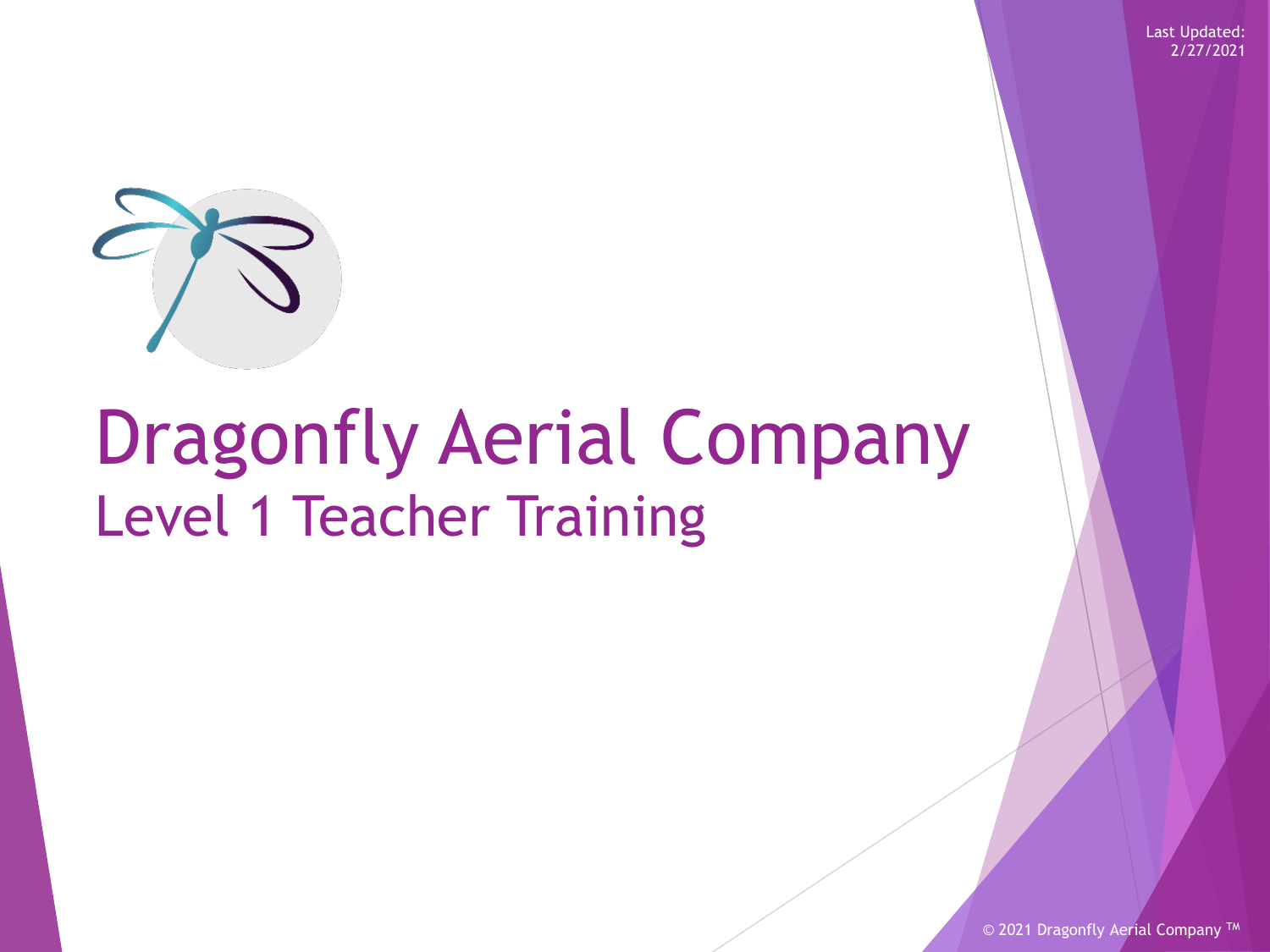

# Dragonfly Aerial Company Level 1 Teacher Training

© 2021 Dragonfly Aerial Company<sup>TM</sup>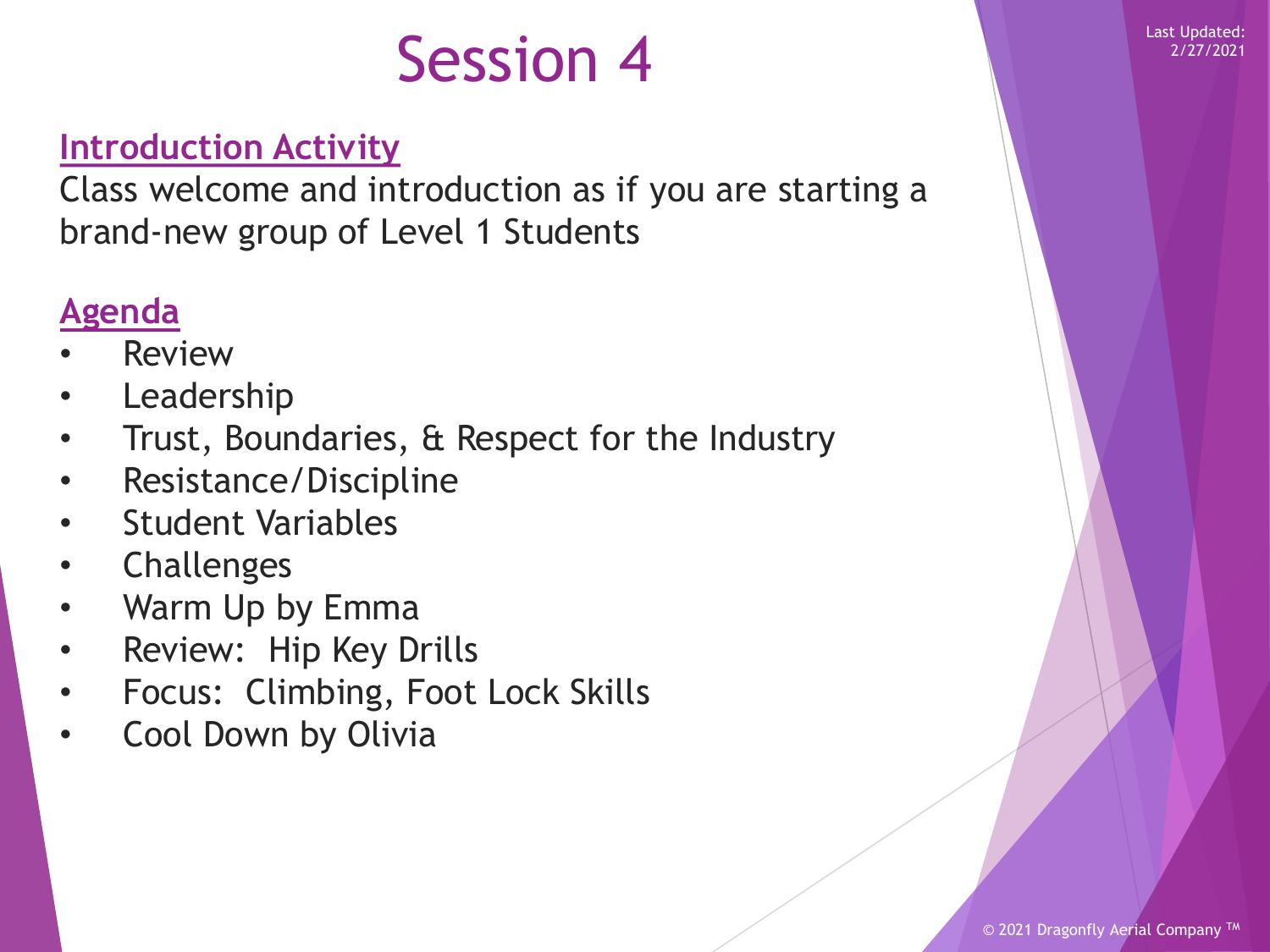### Session 4 Last Updated:

#### **Introduction Activity**

Class welcome and introduction as if you are starting a brand-new group of Level 1 Students

#### **Agenda**

- **Review**
- **Leadership**
- Trust, Boundaries, & Respect for the Industry
- Resistance/Discipline
- Student Variables
- **Challenges**
- Warm Up by Emma
- Review: Hip Key Drills
- Focus: Climbing, Foot Lock Skills
- Cool Down by Olivia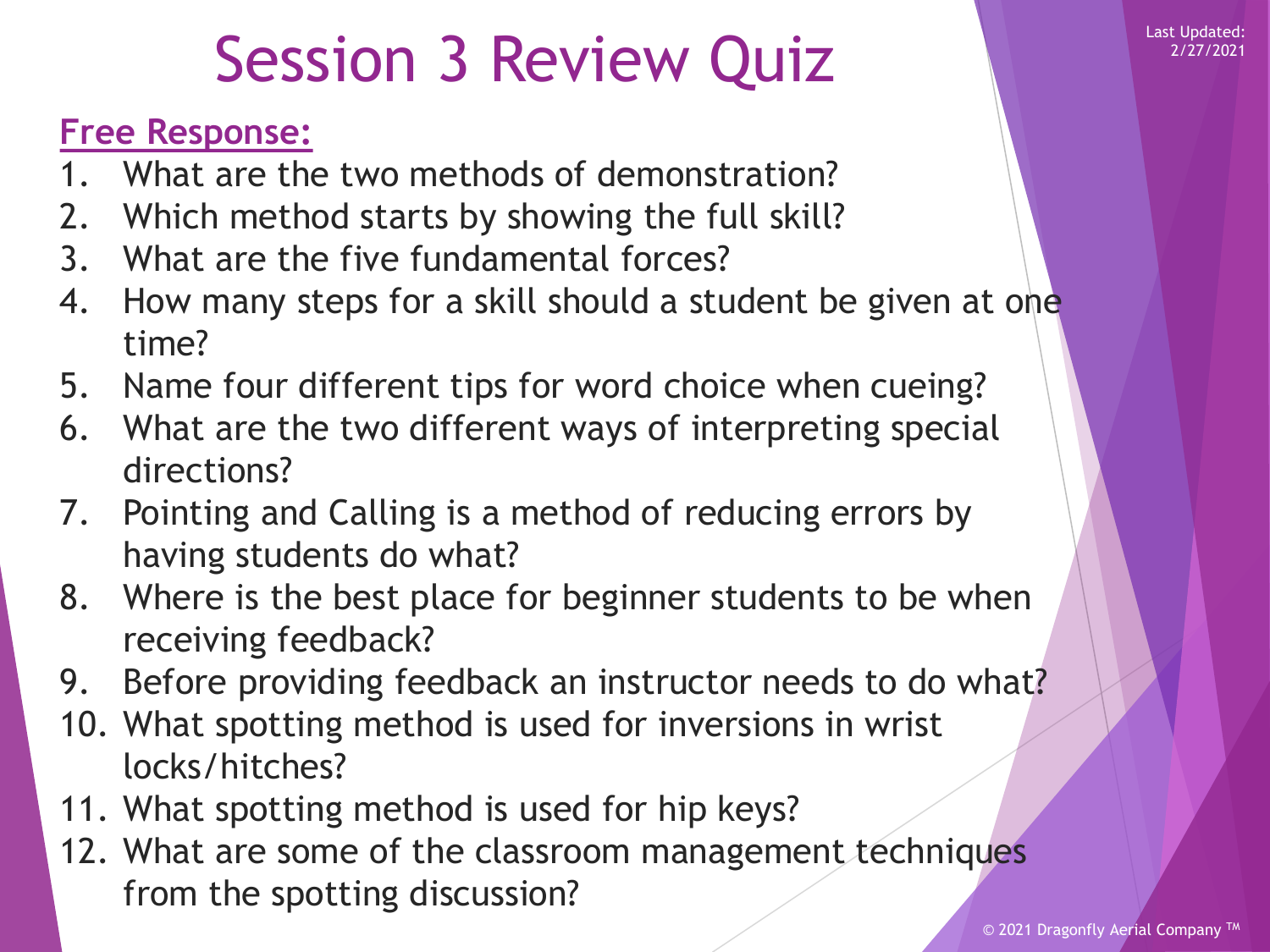### Session 3 Review Quiz News Research

#### **Free Response:**

- 1. What are the two methods of demonstration?
- 2. Which method starts by showing the full skill?
- 3. What are the five fundamental forces?
- 4. How many steps for a skill should a student be given at one time?
- 5. Name four different tips for word choice when cueing?
- 6. What are the two different ways of interpreting special directions?
- 7. Pointing and Calling is a method of reducing errors by having students do what?
- 8. Where is the best place for beginner students to be when receiving feedback?
- 9. Before providing feedback an instructor needs to do what?
- 10. What spotting method is used for inversions in wrist locks/hitches?
- 11. What spotting method is used for hip keys?
- 12. What are some of the classroom management techniques from the spotting discussion?

2/27/2021

© 2021 Dragonfly Aerial Company<sup>TM</sup>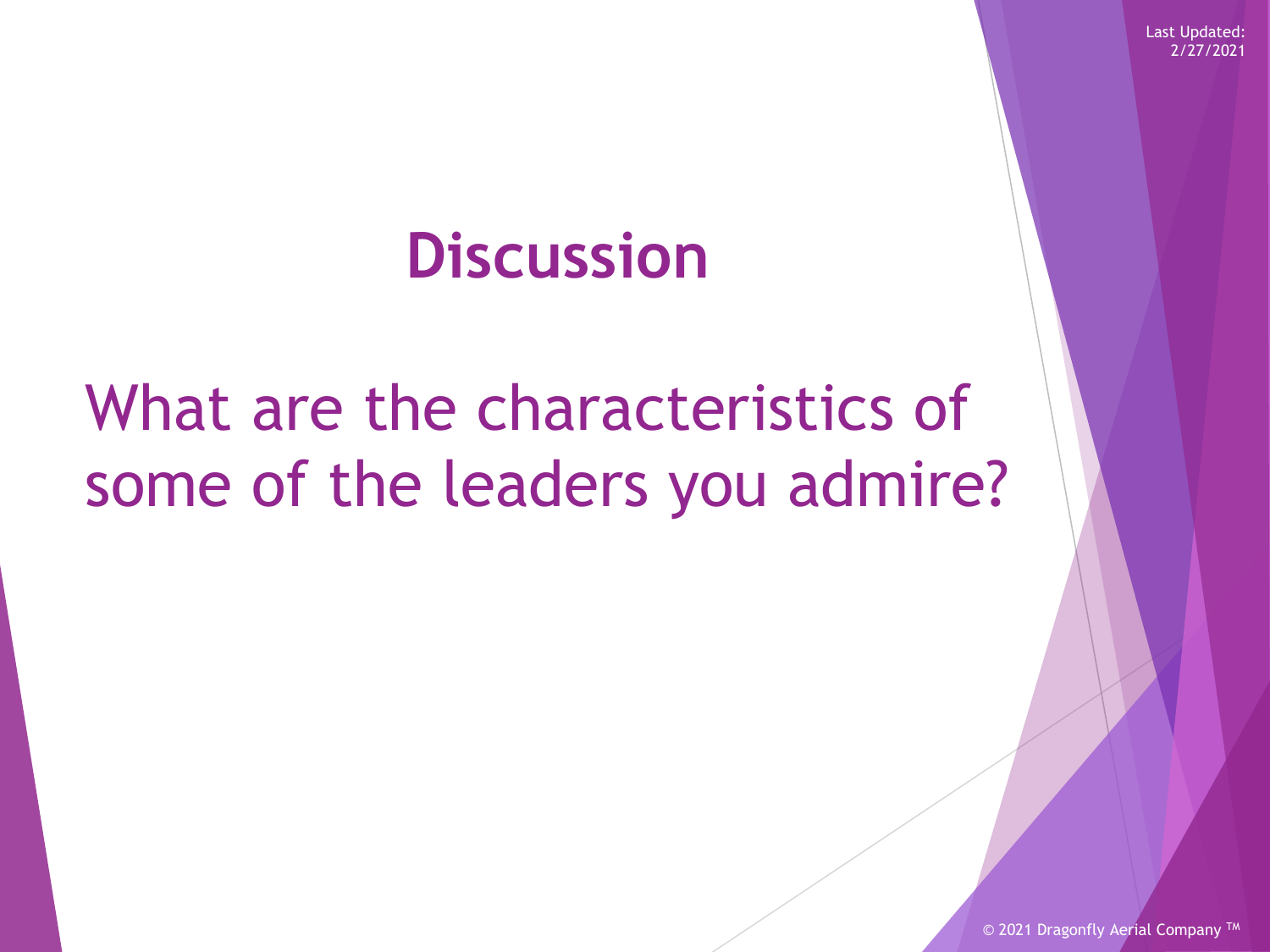### **Discussion**

### What are the characteristics of some of the leaders you admire?

© 2021 Dragonfly Aerial Company<sup>TM</sup>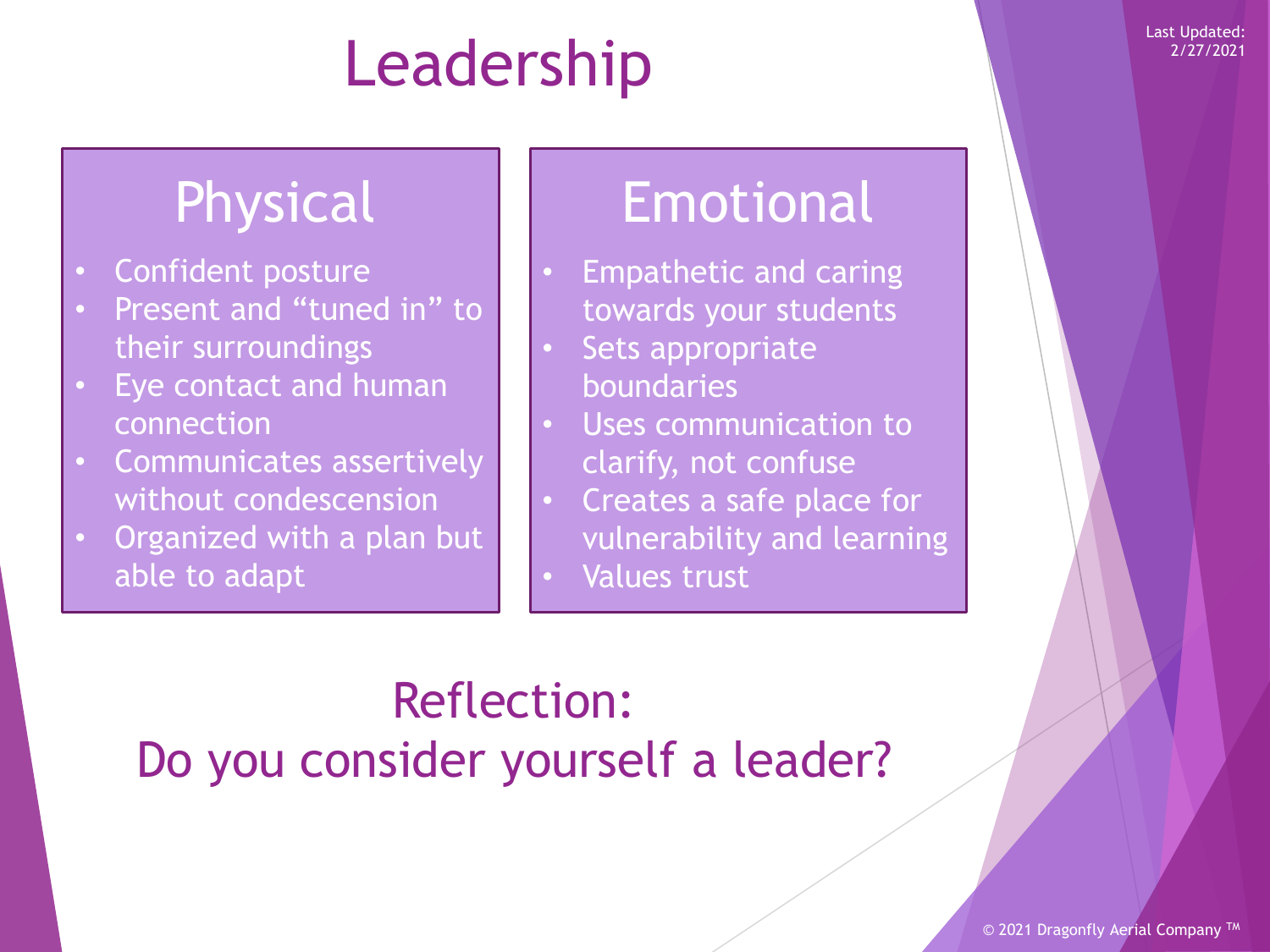# Leadership Examplated:

- Confident posture
- Present and "tuned in" to their surroundings
- Eye contact and human connection
- Communicates assertively without condescension
- Organized with a plan but able to adapt

### Physical | Emotional

- Empathetic and caring towards your students
- Sets appropriate boundaries
- Uses communication to clarify, not confuse
- Creates a safe place for vulnerability and learning
- Values trust

### Reflection: Do you consider yourself a leader?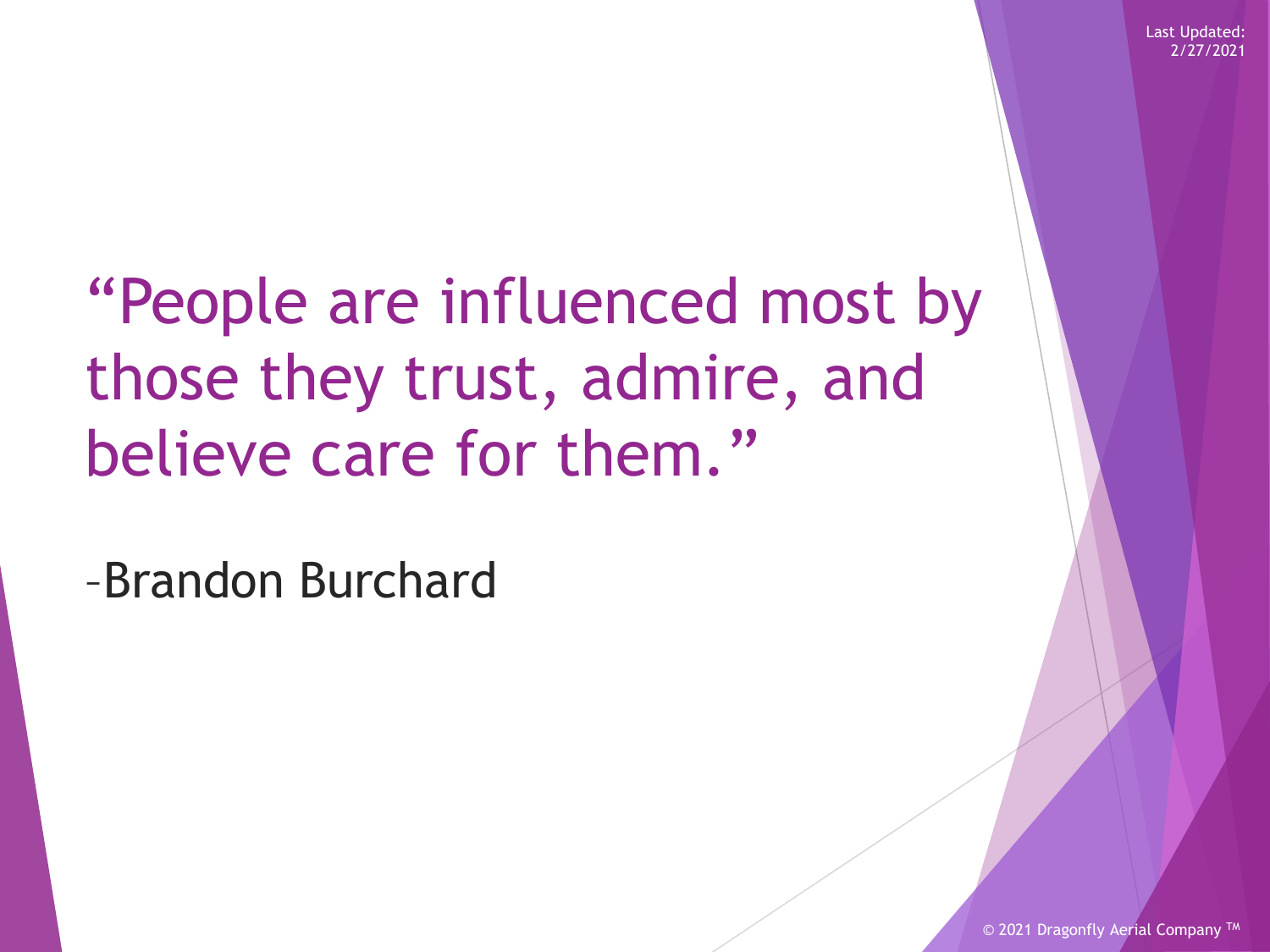"People are influenced most by those they trust, admire, and believe care for them."

–Brandon Burchard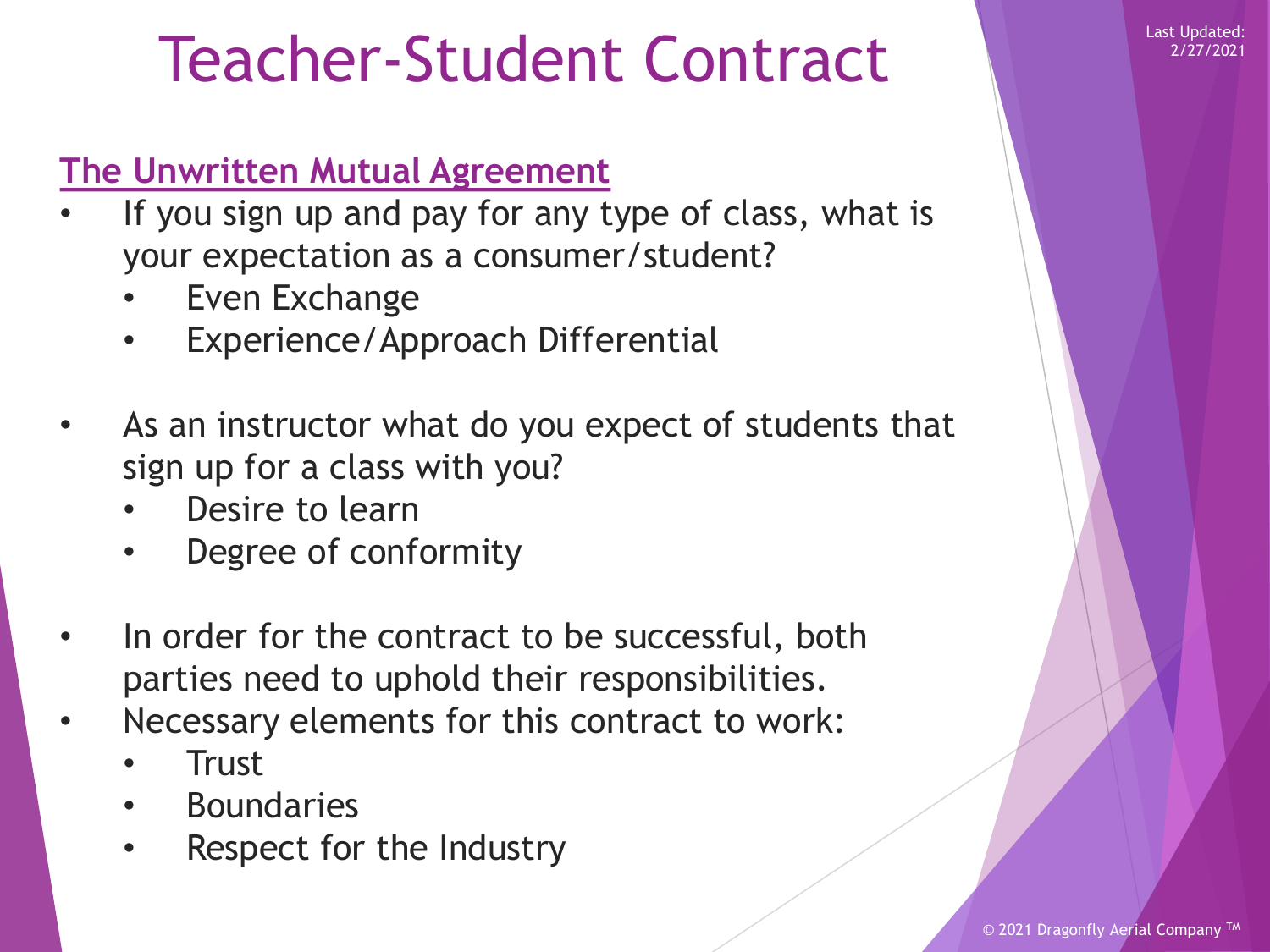### Teacher-Student Contract

#### **The Unwritten Mutual Agreement**

- If you sign up and pay for any type of class, what is your expectation as a consumer/student?
	- Even Exchange
	- Experience/Approach Differential
- As an instructor what do you expect of students that sign up for a class with you?
	- Desire to learn
	- Degree of conformity
- In order for the contract to be successful, both parties need to uphold their responsibilities.
- Necessary elements for this contract to work:
	- **Trust**
	- Boundaries
	- Respect for the Industry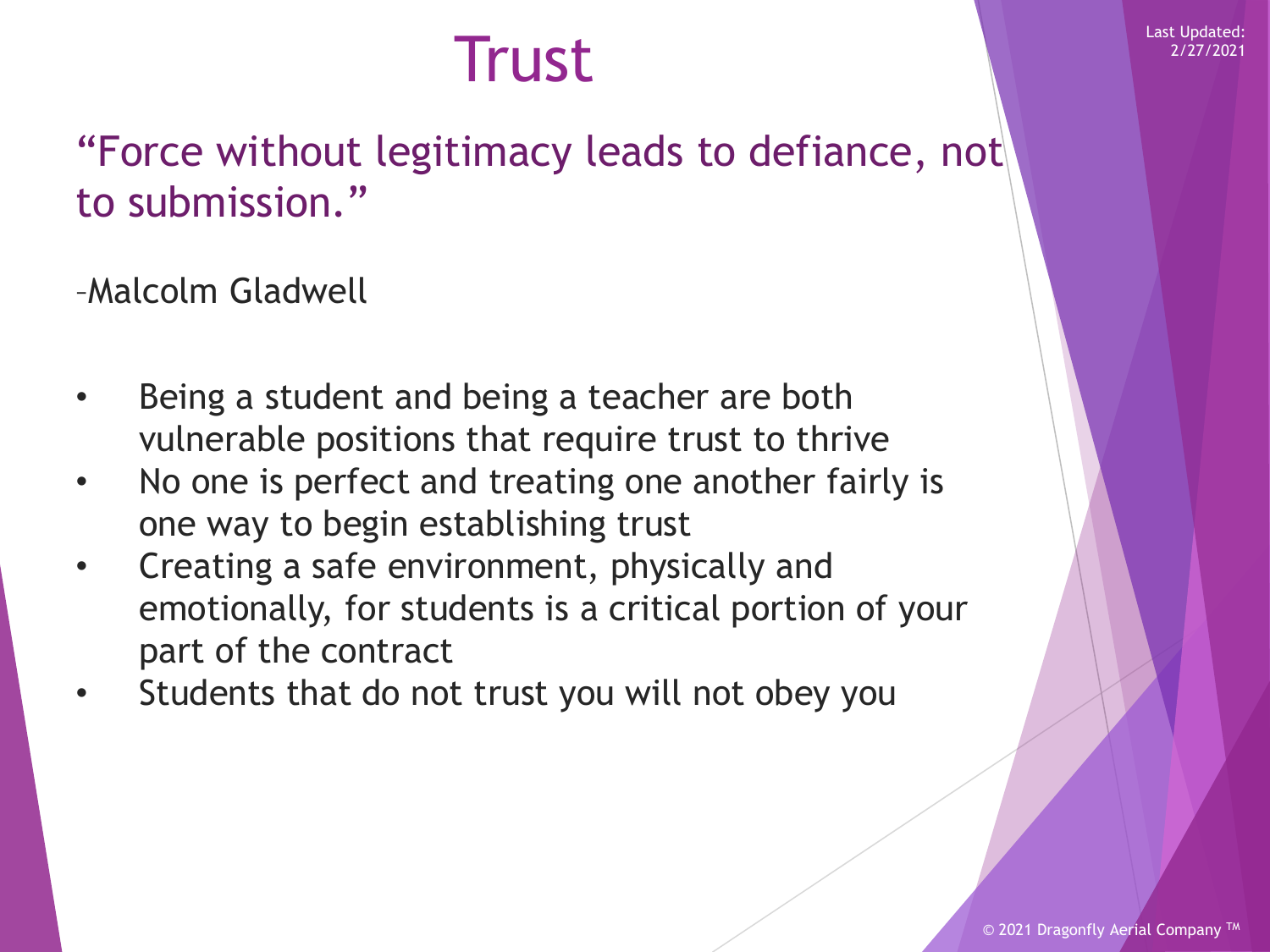### Last Updated:<br>
Last Updated:<br>
2/27/2021

"Force without legitimacy leads to defiance, not to submission."

–Malcolm Gladwell

- Being a student and being a teacher are both vulnerable positions that require trust to thrive
- No one is perfect and treating one another fairly is one way to begin establishing trust
- Creating a safe environment, physically and emotionally, for students is a critical portion of your part of the contract
- Students that do not trust you will not obey you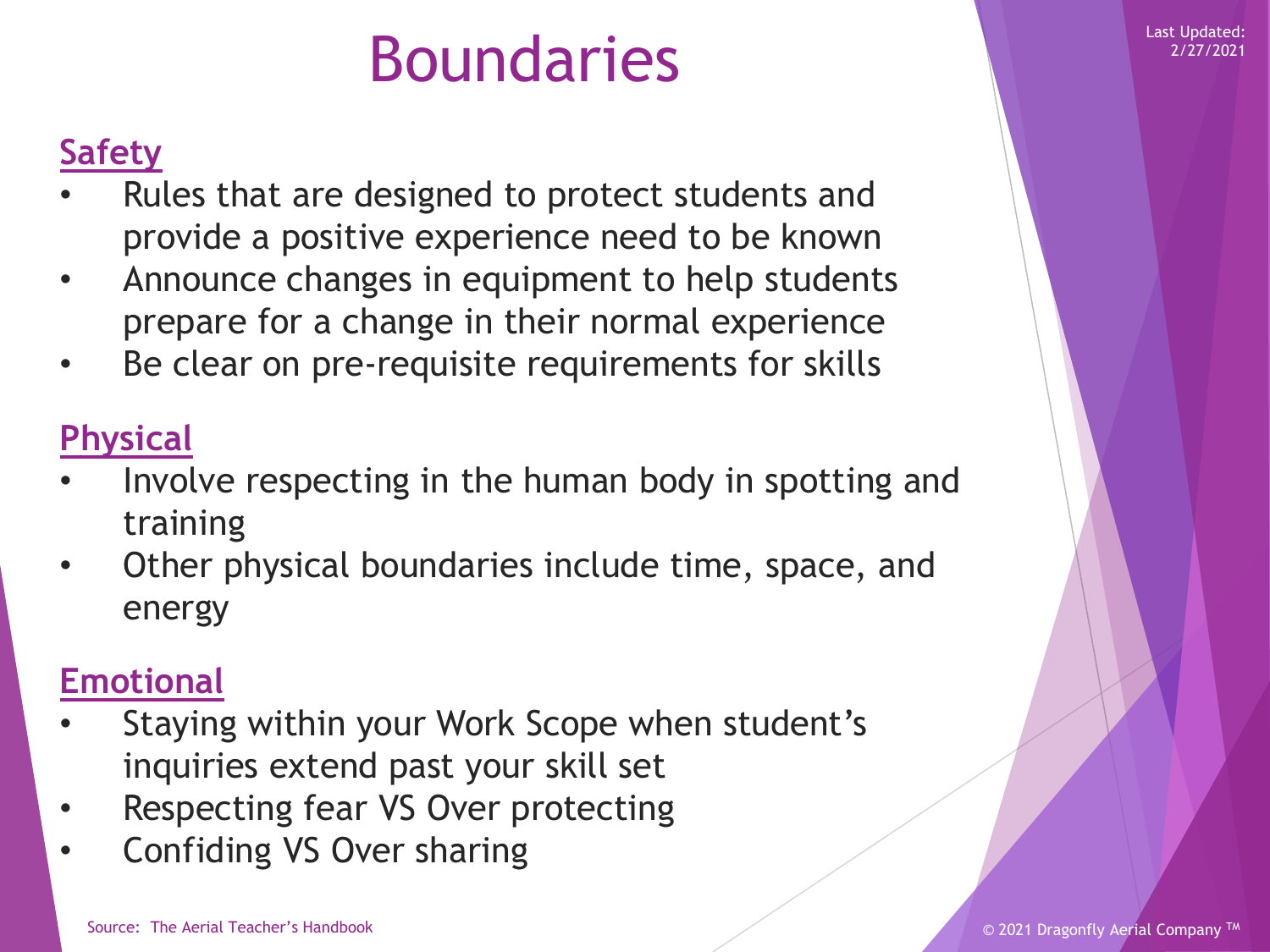### Boundaries Market Market Market Market Updated:

#### **Safety**

- Rules that are designed to protect students and provide a positive experience need to be known
- Announce changes in equipment to help students prepare for a change in their normal experience
- Be clear on pre-requisite requirements for skills

### **Physical**

- Involve respecting in the human body in spotting and training
- Other physical boundaries include time, space, and energy

### **Emotional**

- Staying within your Work Scope when student's inquiries extend past your skill set
- Respecting fear VS Over protecting
- Confiding VS Over sharing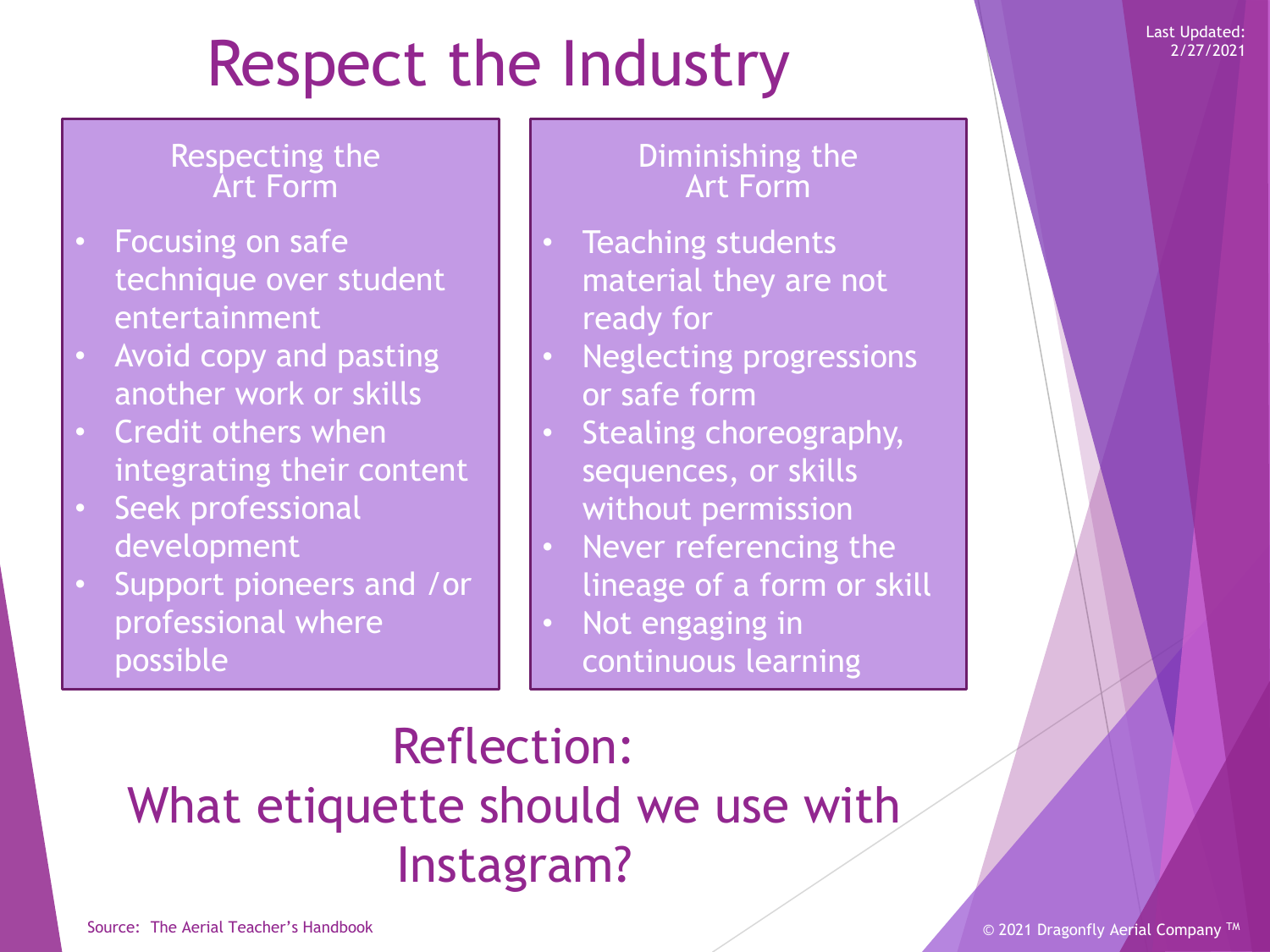# Respect the Industry

#### Respecting the Art Form

- Focusing on safe technique over student entertainment
- Avoid copy and pasting another work or skills
- Credit others when integrating their content
- Seek professional development
- Support pioneers and /or professional where possible

#### Diminishing the Art Form

- Teaching students material they are not ready for
- Neglecting progressions or safe form
- Stealing choreography, sequences, or skills without permission
- Never referencing the lineage of a form or skill
- Not engaging in continuous learning

### Reflection: What etiquette should we use with Instagram?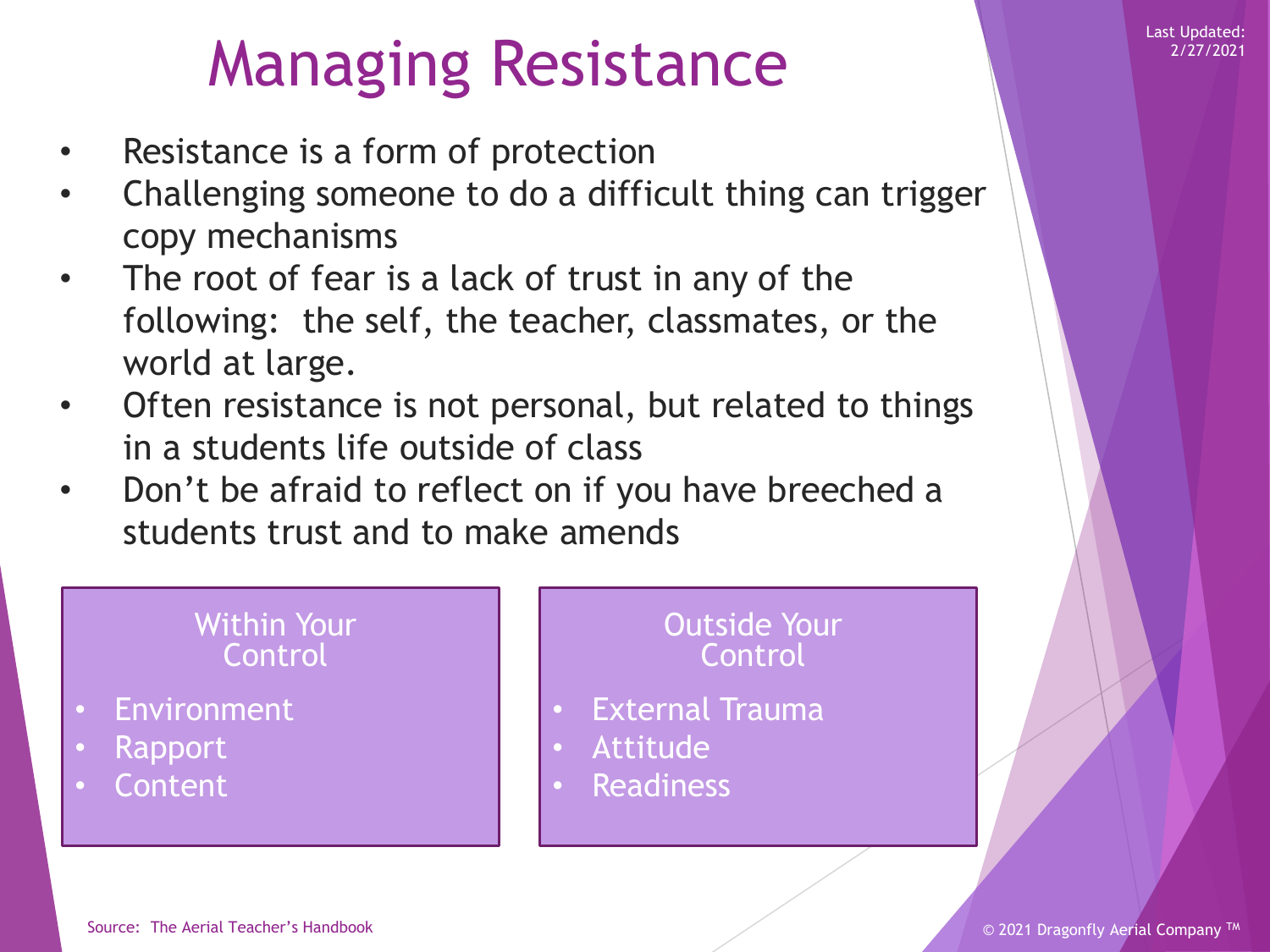# Managing Resistance

- Resistance is a form of protection
- Challenging someone to do a difficult thing can trigger copy mechanisms
- The root of fear is a lack of trust in any of the following: the self, the teacher, classmates, or the world at large.
- Often resistance is not personal, but related to things in a students life outside of class
- Don't be afraid to reflect on if you have breeched a students trust and to make amends

#### Within Your **Control**

- **Environment**
- Rapport
- **Content**

#### Outside Your Control

- External Trauma
- Attitude
- **Readiness**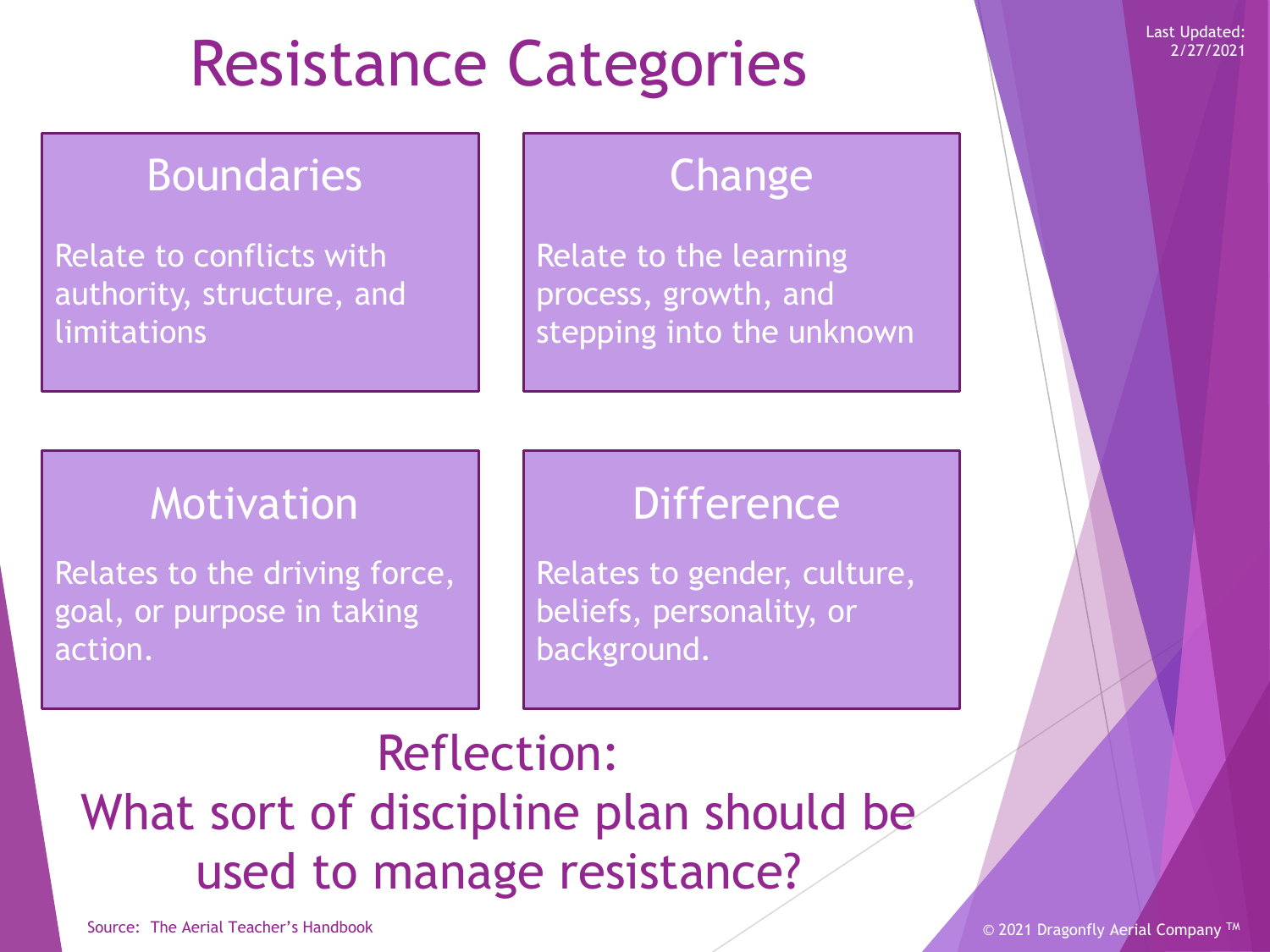# Resistance Categories

### **Boundaries**

Relate to conflicts with authority, structure, and limitations

### Change

Relate to the learning process, growth, and stepping into the unknown

### Motivation

Relates to the driving force, goal, or purpose in taking action.

### **Difference**

Relates to gender, culture, beliefs, personality, or background.

### Reflection: What sort of discipline plan should be used to manage resistance?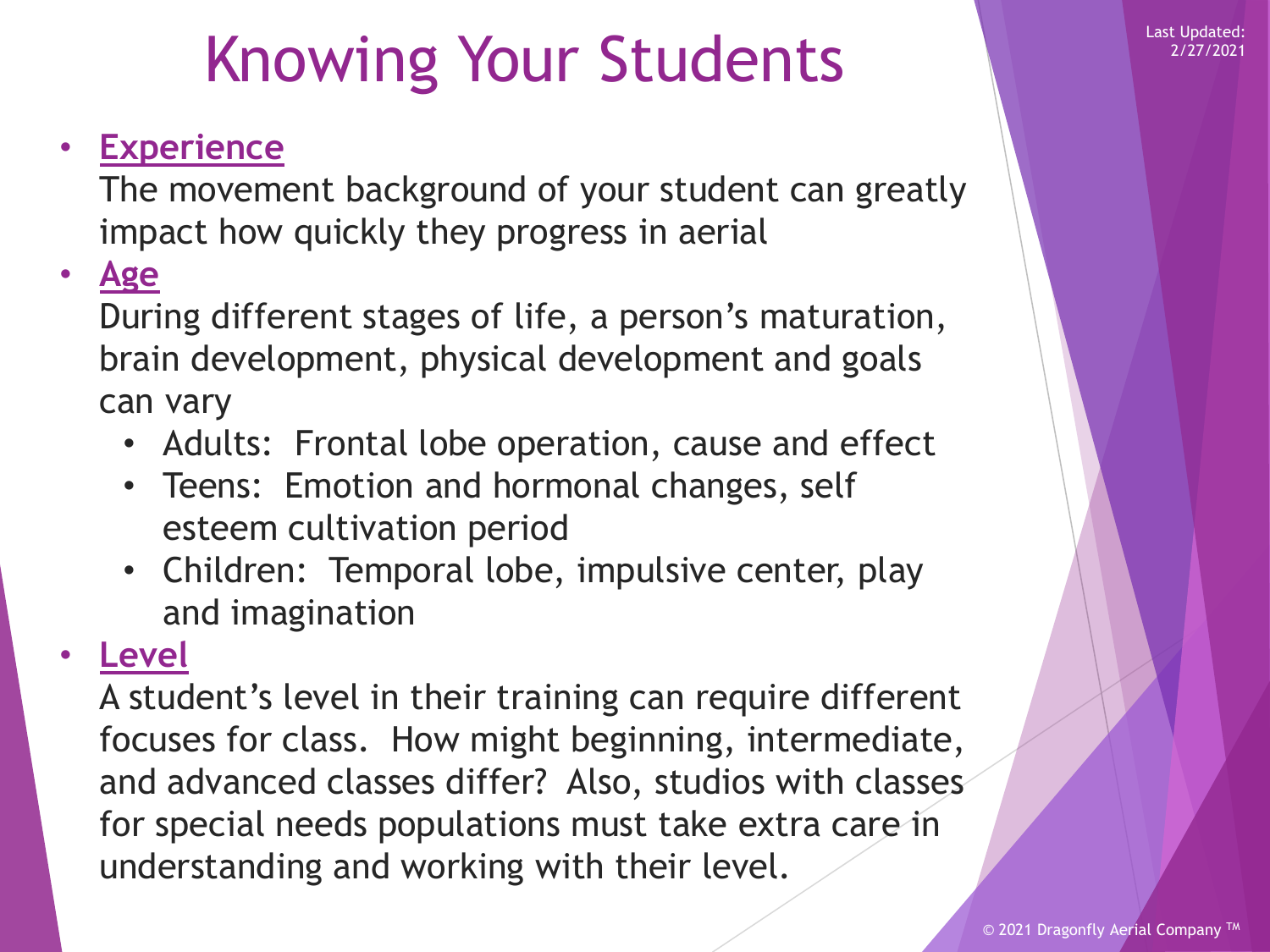### Knowing Your Students

### • **Experience**

The movement background of your student can greatly impact how quickly they progress in aerial

#### • **Age**

During different stages of life, a person's maturation, brain development, physical development and goals can vary

- Adults: Frontal lobe operation, cause and effect
- Teens: Emotion and hormonal changes, self esteem cultivation period
- Children: Temporal lobe, impulsive center, play and imagination

### • **Level**

A student's level in their training can require different focuses for class. How might beginning, intermediate, and advanced classes differ? Also, studios with classes for special needs populations must take extra care in understanding and working with their level.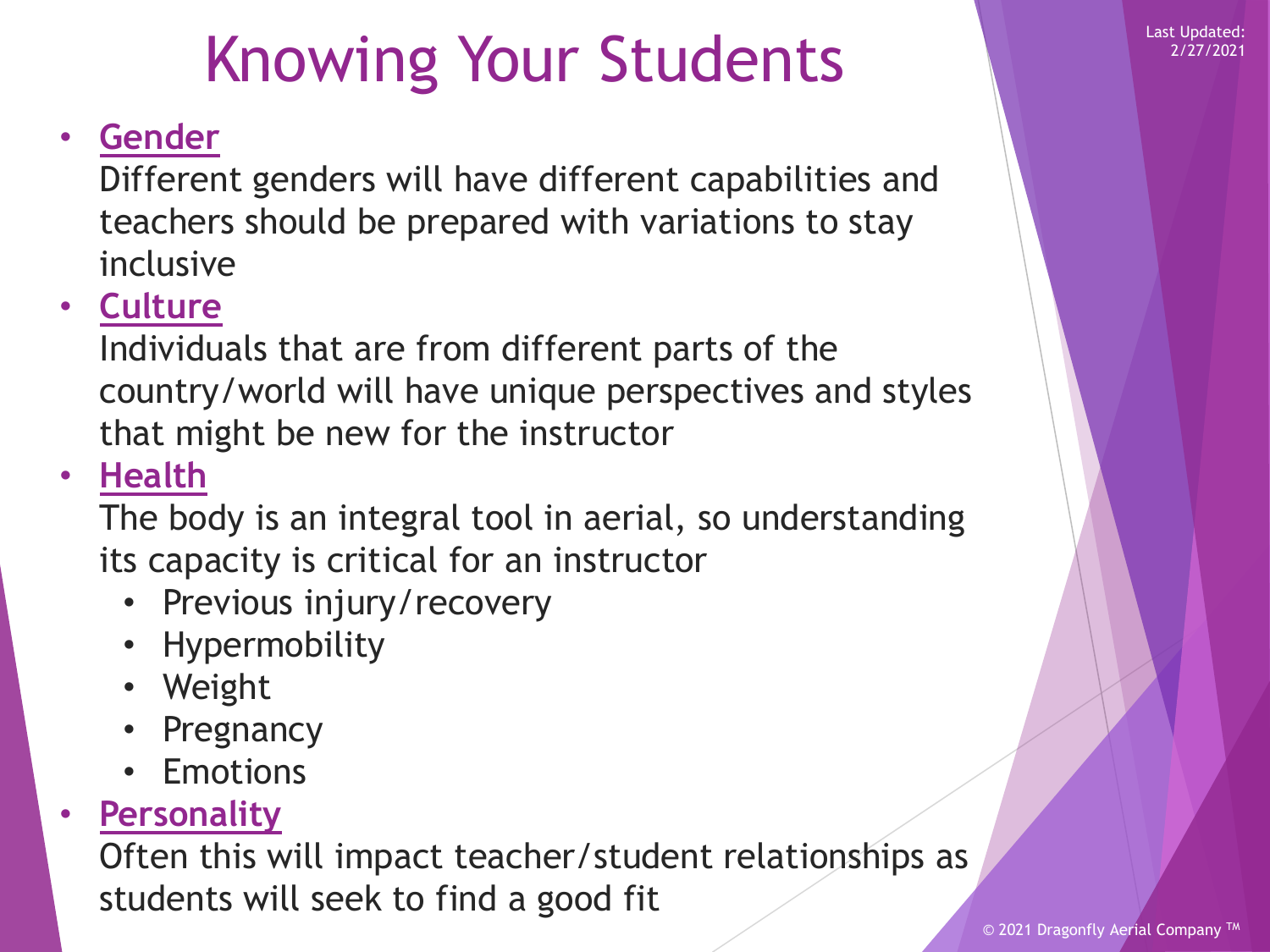### Knowing Your Students

### • **Gender**

Different genders will have different capabilities and teachers should be prepared with variations to stay inclusive

#### • **Culture**

Individuals that are from different parts of the country/world will have unique perspectives and styles that might be new for the instructor

#### • **Health**

The body is an integral tool in aerial, so understanding its capacity is critical for an instructor

- Previous injury/recovery
- Hypermobility
- Weight
- Pregnancy
- Emotions

#### • **Personality**

Often this will impact teacher/student relationships as students will seek to find a good fit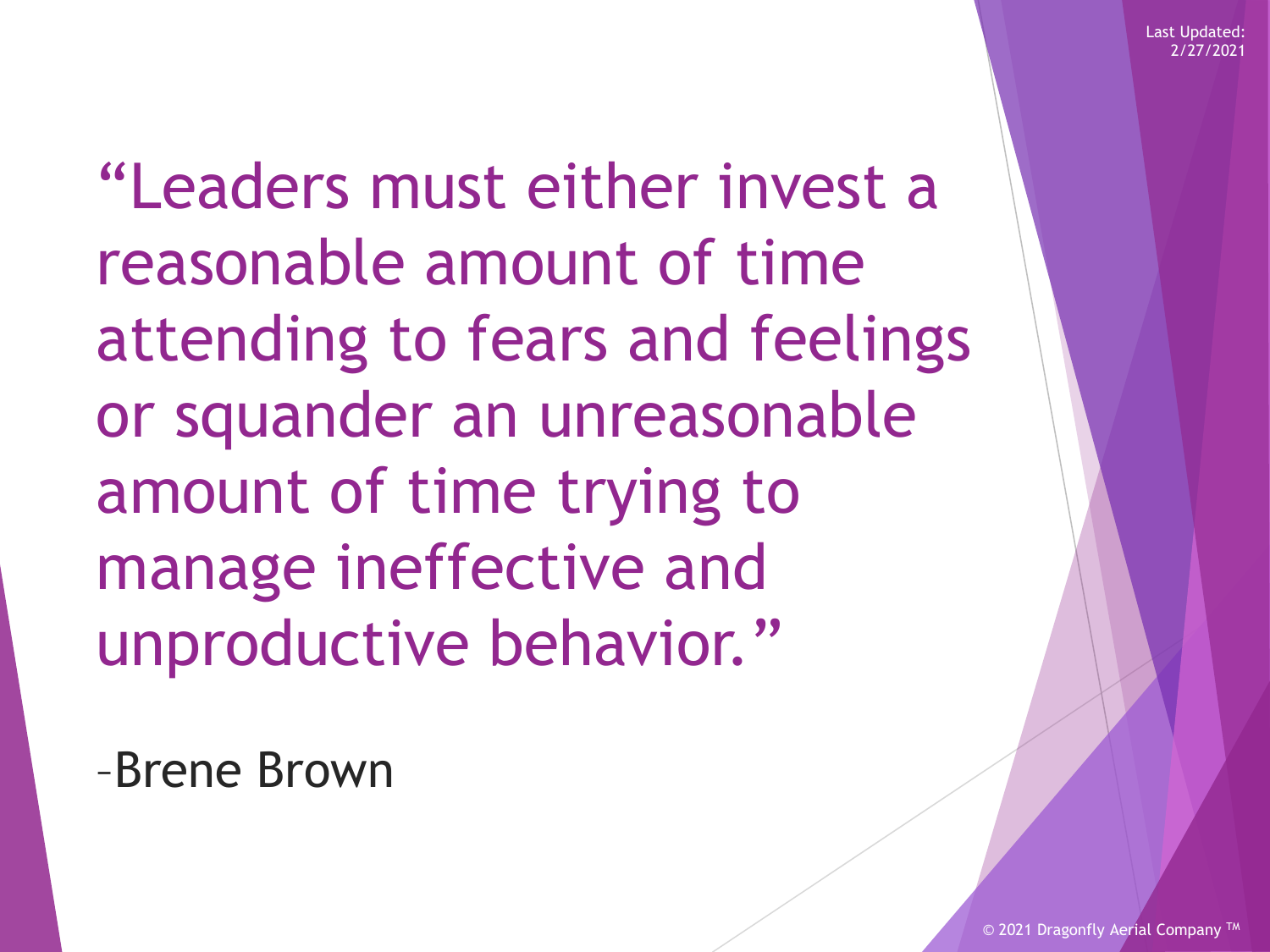"Leaders must either invest a reasonable amount of time attending to fears and feelings or squander an unreasonable amount of time trying to manage ineffective and unproductive behavior."

–Brene Brown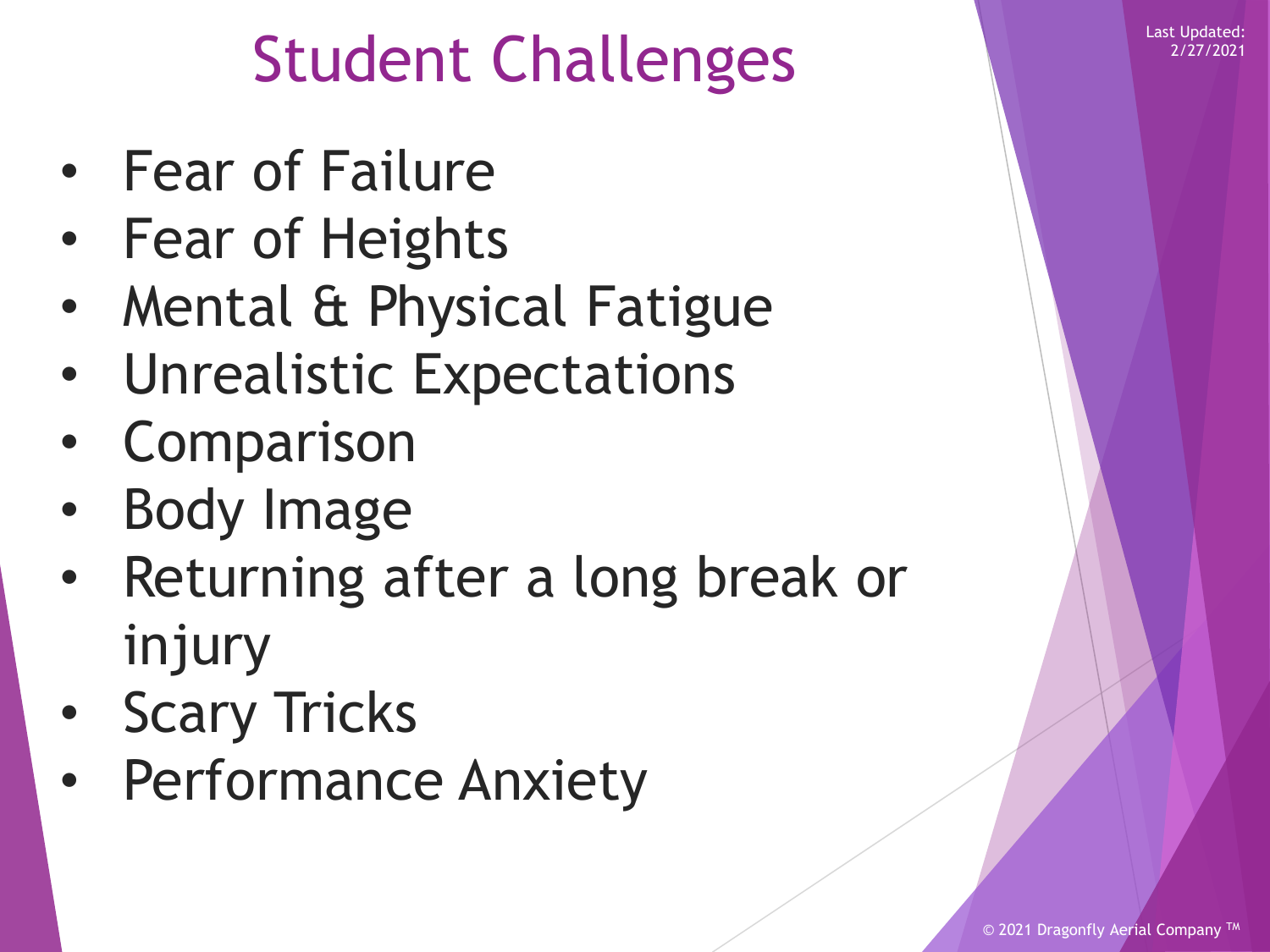### Student Challenges

- Fear of Failure
- Fear of Heights
- Mental & Physical Fatigue
- Unrealistic Expectations
- Comparison
- Body Image
- Returning after a long break or injury
- **Scary Tricks**
- Performance Anxiety